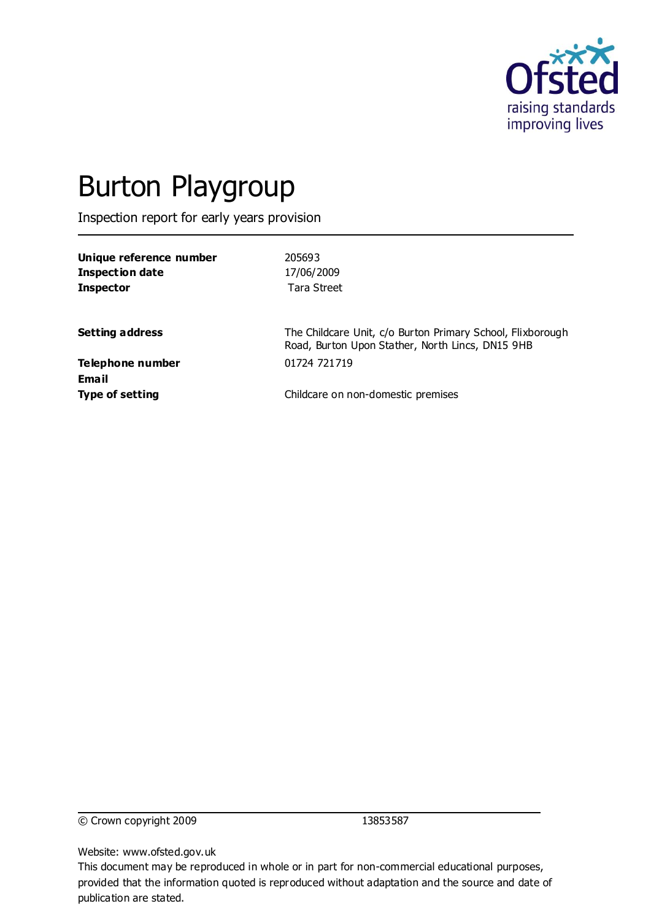

# Burton Playgroup

Inspection report for early years provision

| Unique reference number<br><b>Inspection date</b><br><b>Inspector</b> | 205693<br>17/06/2009<br>Tara Street                                                                            |
|-----------------------------------------------------------------------|----------------------------------------------------------------------------------------------------------------|
| <b>Setting address</b>                                                | The Childcare Unit, c/o Burton Primary School, Flixborough<br>Road, Burton Upon Stather, North Lincs, DN15 9HB |
| <b>Telephone number</b><br>Email                                      | 01724 721719                                                                                                   |
| <b>Type of setting</b>                                                | Childcare on non-domestic premises                                                                             |

© Crown copyright 2009 13853587

Website: www.ofsted.gov.uk

This document may be reproduced in whole or in part for non-commercial educational purposes, provided that the information quoted is reproduced without adaptation and the source and date of publication are stated.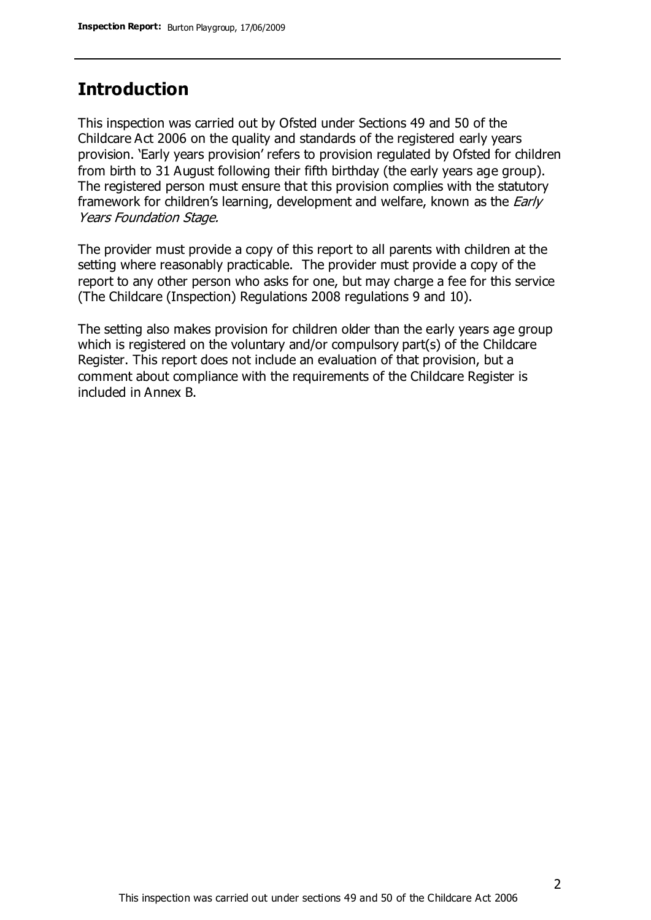#### **Introduction**

This inspection was carried out by Ofsted under Sections 49 and 50 of the Childcare Act 2006 on the quality and standards of the registered early years provision. 'Early years provision' refers to provision regulated by Ofsted for children from birth to 31 August following their fifth birthday (the early years age group). The registered person must ensure that this provision complies with the statutory framework for children's learning, development and welfare, known as the *Early* Years Foundation Stage.

The provider must provide a copy of this report to all parents with children at the setting where reasonably practicable. The provider must provide a copy of the report to any other person who asks for one, but may charge a fee for this service (The Childcare (Inspection) Regulations 2008 regulations 9 and 10).

The setting also makes provision for children older than the early years age group which is registered on the voluntary and/or compulsory part(s) of the Childcare Register. This report does not include an evaluation of that provision, but a comment about compliance with the requirements of the Childcare Register is included in Annex B.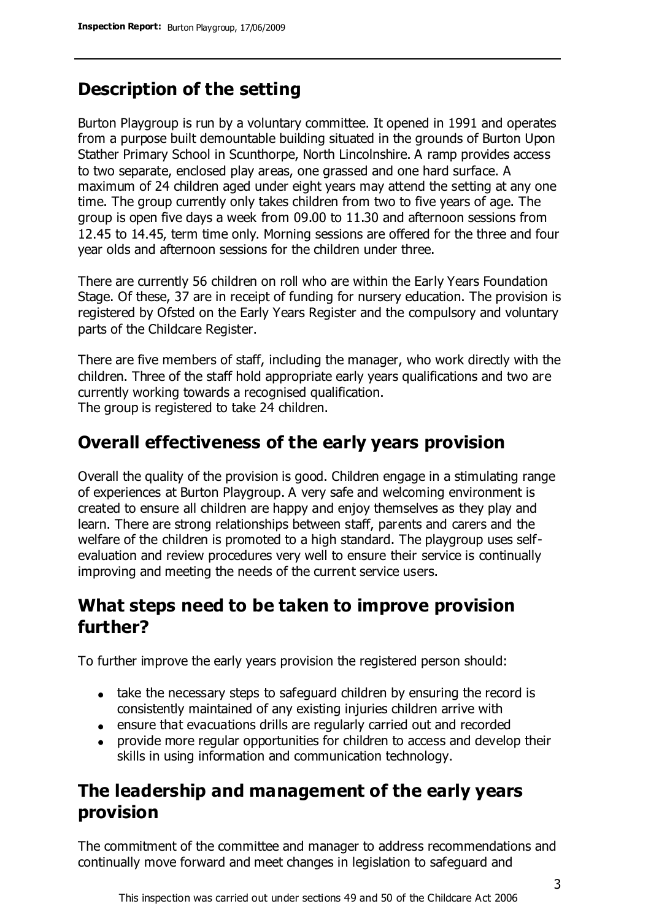## **Description of the setting**

Burton Playgroup is run by a voluntary committee. It opened in 1991 and operates from a purpose built demountable building situated in the grounds of Burton Upon Stather Primary School in Scunthorpe, North Lincolnshire. A ramp provides access to two separate, enclosed play areas, one grassed and one hard surface. A maximum of 24 children aged under eight years may attend the setting at any one time. The group currently only takes children from two to five years of age. The group is open five days a week from 09.00 to 11.30 and afternoon sessions from 12.45 to 14.45, term time only. Morning sessions are offered for the three and four year olds and afternoon sessions for the children under three.

There are currently 56 children on roll who are within the Early Years Foundation Stage. Of these, 37 are in receipt of funding for nursery education. The provision is registered by Ofsted on the Early Years Register and the compulsory and voluntary parts of the Childcare Register.

There are five members of staff, including the manager, who work directly with the children. Three of the staff hold appropriate early years qualifications and two are currently working towards a recognised qualification. The group is registered to take 24 children.

#### **Overall effectiveness of the early years provision**

Overall the quality of the provision is good. Children engage in a stimulating range of experiences at Burton Playgroup. A very safe and welcoming environment is created to ensure all children are happy and enjoy themselves as they play and learn. There are strong relationships between staff, parents and carers and the welfare of the children is promoted to a high standard. The playgroup uses selfevaluation and review procedures very well to ensure their service is continually improving and meeting the needs of the current service users.

## **What steps need to be taken to improve provision further?**

To further improve the early years provision the registered person should:

- take the necessary steps to safeguard children by ensuring the record is consistently maintained of any existing injuries children arrive with
- ensure that evacuations drills are regularly carried out and recorded
- provide more regular opportunities for children to access and develop their skills in using information and communication technology.

## **The leadership and management of the early years provision**

The commitment of the committee and manager to address recommendations and continually move forward and meet changes in legislation to safeguard and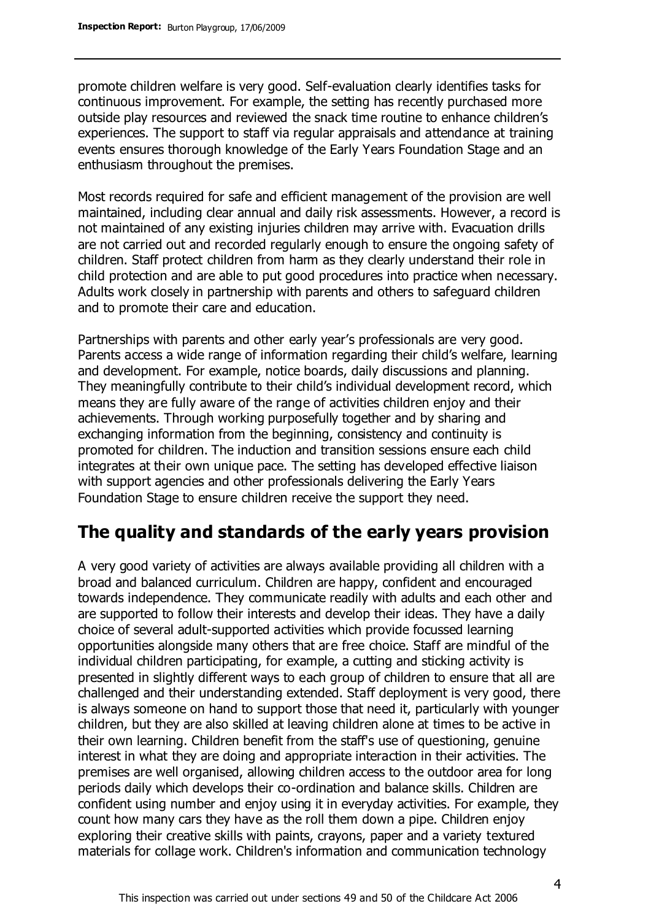promote children welfare is very good. Self-evaluation clearly identifies tasks for continuous improvement. For example, the setting has recently purchased more outside play resources and reviewed the snack time routine to enhance children's experiences. The support to staff via regular appraisals and attendance at training events ensures thorough knowledge of the Early Years Foundation Stage and an enthusiasm throughout the premises.

Most records required for safe and efficient management of the provision are well maintained, including clear annual and daily risk assessments. However, a record is not maintained of any existing injuries children may arrive with. Evacuation drills are not carried out and recorded regularly enough to ensure the ongoing safety of children. Staff protect children from harm as they clearly understand their role in child protection and are able to put good procedures into practice when necessary. Adults work closely in partnership with parents and others to safeguard children and to promote their care and education.

Partnerships with parents and other early year's professionals are very good. Parents access a wide range of information regarding their child's welfare, learning and development. For example, notice boards, daily discussions and planning. They meaningfully contribute to their child's individual development record, which means they are fully aware of the range of activities children enjoy and their achievements. Through working purposefully together and by sharing and exchanging information from the beginning, consistency and continuity is promoted for children. The induction and transition sessions ensure each child integrates at their own unique pace. The setting has developed effective liaison with support agencies and other professionals delivering the Early Years Foundation Stage to ensure children receive the support they need.

## **The quality and standards of the early years provision**

A very good variety of activities are always available providing all children with a broad and balanced curriculum. Children are happy, confident and encouraged towards independence. They communicate readily with adults and each other and are supported to follow their interests and develop their ideas. They have a daily choice of several adult-supported activities which provide focussed learning opportunities alongside many others that are free choice. Staff are mindful of the individual children participating, for example, a cutting and sticking activity is presented in slightly different ways to each group of children to ensure that all are challenged and their understanding extended. Staff deployment is very good, there is always someone on hand to support those that need it, particularly with younger children, but they are also skilled at leaving children alone at times to be active in their own learning. Children benefit from the staff's use of questioning, genuine interest in what they are doing and appropriate interaction in their activities. The premises are well organised, allowing children access to the outdoor area for long periods daily which develops their co-ordination and balance skills. Children are confident using number and enjoy using it in everyday activities. For example, they count how many cars they have as the roll them down a pipe. Children enjoy exploring their creative skills with paints, crayons, paper and a variety textured materials for collage work. Children's information and communication technology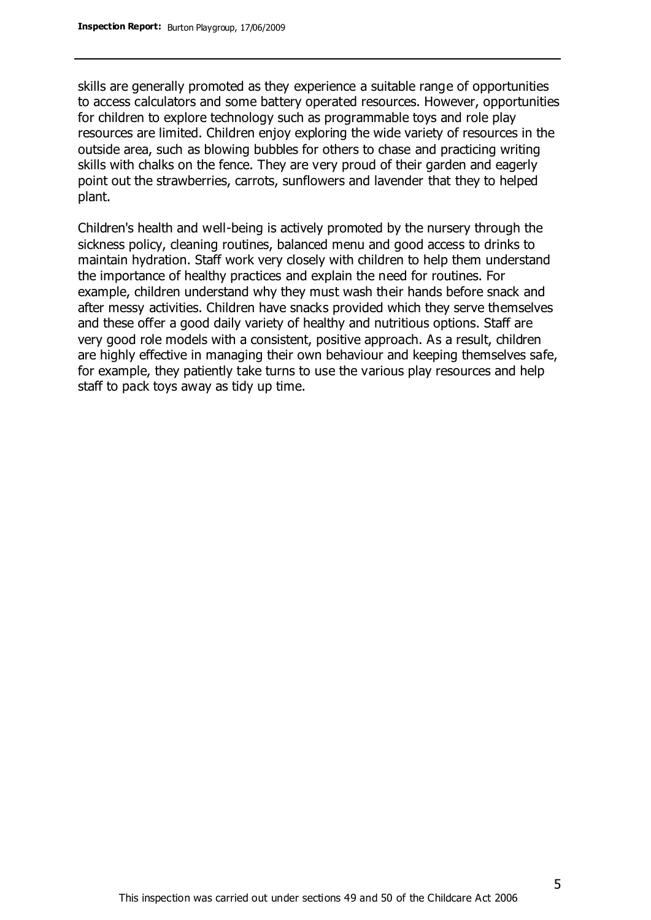skills are generally promoted as they experience a suitable range of opportunities to access calculators and some battery operated resources. However, opportunities for children to explore technology such as programmable toys and role play resources are limited. Children enjoy exploring the wide variety of resources in the outside area, such as blowing bubbles for others to chase and practicing writing skills with chalks on the fence. They are very proud of their garden and eagerly point out the strawberries, carrots, sunflowers and lavender that they to helped plant.

Children's health and well-being is actively promoted by the nursery through the sickness policy, cleaning routines, balanced menu and good access to drinks to maintain hydration. Staff work very closely with children to help them understand the importance of healthy practices and explain the need for routines. For example, children understand why they must wash their hands before snack and after messy activities. Children have snacks provided which they serve themselves and these offer a good daily variety of healthy and nutritious options. Staff are very good role models with a consistent, positive approach. As a result, children are highly effective in managing their own behaviour and keeping themselves safe, for example, they patiently take turns to use the various play resources and help staff to pack toys away as tidy up time.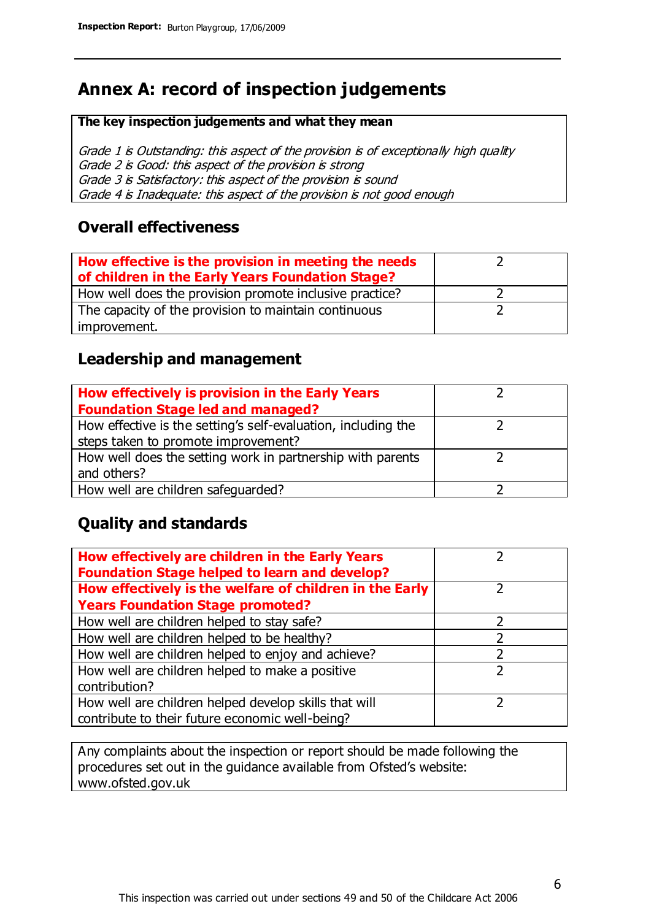## **Annex A: record of inspection judgements**

#### **The key inspection judgements and what they mean**

Grade 1 is Outstanding: this aspect of the provision is of exceptionally high quality Grade 2 is Good: this aspect of the provision is strong Grade 3 is Satisfactory: this aspect of the provision is sound Grade 4 is Inadequate: this aspect of the provision is not good enough

#### **Overall effectiveness**

| How effective is the provision in meeting the needs<br>of children in the Early Years Foundation Stage? |  |
|---------------------------------------------------------------------------------------------------------|--|
| How well does the provision promote inclusive practice?                                                 |  |
| The capacity of the provision to maintain continuous                                                    |  |
| improvement.                                                                                            |  |

#### **Leadership and management**

| How effectively is provision in the Early Years               |  |
|---------------------------------------------------------------|--|
| <b>Foundation Stage led and managed?</b>                      |  |
| How effective is the setting's self-evaluation, including the |  |
| steps taken to promote improvement?                           |  |
| How well does the setting work in partnership with parents    |  |
| and others?                                                   |  |
| How well are children safequarded?                            |  |

#### **Quality and standards**

| How effectively are children in the Early Years<br><b>Foundation Stage helped to learn and develop?</b> |               |
|---------------------------------------------------------------------------------------------------------|---------------|
| How effectively is the welfare of children in the Early                                                 | ר             |
| <b>Years Foundation Stage promoted?</b>                                                                 |               |
| How well are children helped to stay safe?                                                              |               |
| How well are children helped to be healthy?                                                             |               |
| How well are children helped to enjoy and achieve?                                                      | 2             |
| How well are children helped to make a positive                                                         | $\mathcal{P}$ |
| contribution?                                                                                           |               |
| How well are children helped develop skills that will                                                   |               |
| contribute to their future economic well-being?                                                         |               |

Any complaints about the inspection or report should be made following the procedures set out in the guidance available from Ofsted's website: www.ofsted.gov.uk